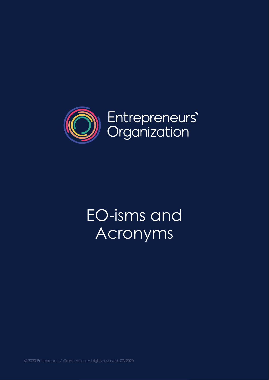

# EO-isms and Acronyms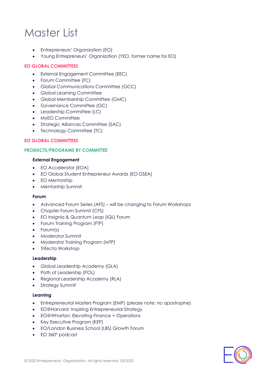# Master List

- Entrepreneurs' Organization (EO)
- Young Entrepreneurs' Organization (YEO, former name for EO)

#### **EO GLOBAL COMMITTEES**

- External Engagement Committee (EEC)
- Forum Committee (FC)
- Global Communications Committee (GCC)
- Global Learning Committee
- Global Membership Committee (GMC)
- Governance Committee (GC)
- Leadership Committee (LC)
- MyEO Committee
- Strategic Alliances Committee (SAC)
- Technology Committee (TC)

#### **EO GLOBAL COMMITTEES**

#### **PRODUCTS/PROGRAMS BY COMMITTEE**

#### **External Engagement**

- EO Accelerator (EOA)
- EO Global Student Entrepreneur Awards (EO GSEA)
- EO Mentorship
- Mentorship Summit

#### **Forum**

- Advanced Forum Series (AFS) will be changing to Forum Workshops
- Chapter Forum Summit (CFS)
- EO Insignia & Quantum Leap (IQL) Forum
- Forum Training Program (FTP)
- Forum(s)
- Moderator Summit
- Moderator Training Program (MTP)
- Trifecta Workshop

#### **Leadership**

- Global Leadership Academy (GLA)
- Path of Leadership (POL)
- Regional Leadership Academy (RLA)
- Strategy Summit

#### **Learning**

- Entrepreneurial Masters Program (EMP) (please note: no apostrophe)
- EO@Harvard: Inspiring Entrepreneurial Strategy
- EO@Wharton: Elevating Finance + Operations
- Key Executive Program (KEP)
- EO/London Business School (LBS) Growth Forum
- EO 360° podcast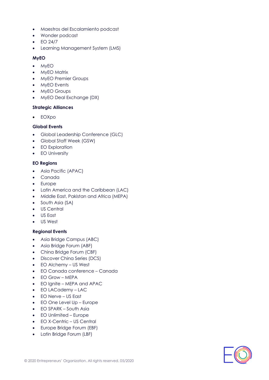- Maestros del Escalamiento podcast
- Wonder podcast
- EO 24/7
- Learning Management System (LMS)

#### **MyEO**

- MyEO
- MyEO Matrix
- MyEO Premier Groups
- MyEO Events
- MyEO Groups
- MyEO Deal Exchange (DX)

#### **Strategic Alliances**

• EOXpo

#### **Global Events**

- Global Leadership Conference (GLC)
- Global Staff Week (GSW)
- EO Exploration
- EO University

## **EO Regions**

- Asia Pacific (APAC)
- Canada
- Europe
- Latin America and the Caribbean (LAC)
- Middle East, Pakistan and Africa (MEPA)
- South Asia (SA)
- US Central
- US East
- US West

## **Regional Events**

- Asia Bridge Campus (ABC)
- Asia Bridge Forum (ABF)
- China Bridge Forum (CBF)
- Discover China Series (DCS)
- EO Alchemy US West
- EO Canada conference Canada
- EO Grow MEPA
- EO Ignite MEPA and APAC
- EO LACademy LAC
- EO Nerve US East
- EO One Level Up Europe
- EO SPARK South Asia
- EO Unlimited Europe
- EO X-Centric US Central
- Europe Bridge Forum (EBF)
- Latin Bridge Forum (LBF)